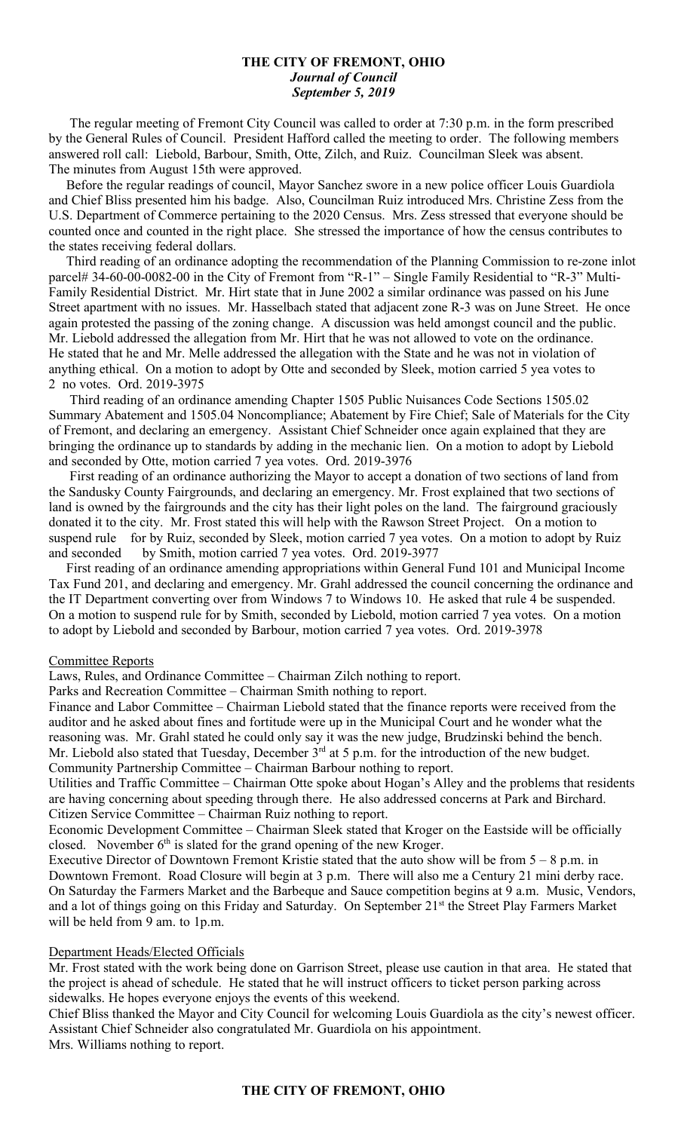### **THE CITY OF FREMONT, OHIO** *Journal of Council September 5, 2019*

 The regular meeting of Fremont City Council was called to order at 7:30 p.m. in the form prescribed by the General Rules of Council. President Hafford called the meeting to order. The following members answered roll call: Liebold, Barbour, Smith, Otte, Zilch, and Ruiz. Councilman Sleek was absent. The minutes from August 15th were approved.

 Before the regular readings of council, Mayor Sanchez swore in a new police officer Louis Guardiola and Chief Bliss presented him his badge. Also, Councilman Ruiz introduced Mrs. Christine Zess from the U.S. Department of Commerce pertaining to the 2020 Census. Mrs. Zess stressed that everyone should be counted once and counted in the right place. She stressed the importance of how the census contributes to the states receiving federal dollars.

 Third reading of an ordinance adopting the recommendation of the Planning Commission to re-zone inlot parcel# 34-60-00-0082-00 in the City of Fremont from "R-1" – Single Family Residential to "R-3" Multi-Family Residential District. Mr. Hirt state that in June 2002 a similar ordinance was passed on his June Street apartment with no issues. Mr. Hasselbach stated that adjacent zone R-3 was on June Street. He once again protested the passing of the zoning change. A discussion was held amongst council and the public. Mr. Liebold addressed the allegation from Mr. Hirt that he was not allowed to vote on the ordinance. He stated that he and Mr. Melle addressed the allegation with the State and he was not in violation of anything ethical. On a motion to adopt by Otte and seconded by Sleek, motion carried 5 yea votes to 2 no votes. Ord. 2019-3975

 Third reading of an ordinance amending Chapter 1505 Public Nuisances Code Sections 1505.02 Summary Abatement and 1505.04 Noncompliance; Abatement by Fire Chief; Sale of Materials for the City of Fremont, and declaring an emergency. Assistant Chief Schneider once again explained that they are bringing the ordinance up to standards by adding in the mechanic lien. On a motion to adopt by Liebold and seconded by Otte, motion carried 7 yea votes. Ord. 2019-3976

 First reading of an ordinance authorizing the Mayor to accept a donation of two sections of land from the Sandusky County Fairgrounds, and declaring an emergency. Mr. Frost explained that two sections of land is owned by the fairgrounds and the city has their light poles on the land. The fairground graciously donated it to the city. Mr. Frost stated this will help with the Rawson Street Project. On a motion to suspend rule for by Ruiz, seconded by Sleek, motion carried 7 yea votes. On a motion to adopt by Ruiz and seconded by Smith, motion carried 7 yea votes. Ord. 2019-3977

 First reading of an ordinance amending appropriations within General Fund 101 and Municipal Income Tax Fund 201, and declaring and emergency. Mr. Grahl addressed the council concerning the ordinance and the IT Department converting over from Windows 7 to Windows 10. He asked that rule 4 be suspended. On a motion to suspend rule for by Smith, seconded by Liebold, motion carried 7 yea votes. On a motion to adopt by Liebold and seconded by Barbour, motion carried 7 yea votes. Ord. 2019-3978

#### Committee Reports

Laws, Rules, and Ordinance Committee – Chairman Zilch nothing to report.

Parks and Recreation Committee – Chairman Smith nothing to report.

Finance and Labor Committee – Chairman Liebold stated that the finance reports were received from the auditor and he asked about fines and fortitude were up in the Municipal Court and he wonder what the reasoning was. Mr. Grahl stated he could only say it was the new judge, Brudzinski behind the bench. Mr. Liebold also stated that Tuesday, December 3<sup>rd</sup> at 5 p.m. for the introduction of the new budget. Community Partnership Committee – Chairman Barbour nothing to report.

Utilities and Traffic Committee – Chairman Otte spoke about Hogan's Alley and the problems that residents are having concerning about speeding through there. He also addressed concerns at Park and Birchard. Citizen Service Committee – Chairman Ruiz nothing to report.

Economic Development Committee – Chairman Sleek stated that Kroger on the Eastside will be officially closed. November  $6<sup>th</sup>$  is slated for the grand opening of the new Kroger.

Executive Director of Downtown Fremont Kristie stated that the auto show will be from 5 – 8 p.m. in Downtown Fremont. Road Closure will begin at 3 p.m. There will also me a Century 21 mini derby race. On Saturday the Farmers Market and the Barbeque and Sauce competition begins at 9 a.m. Music, Vendors, and a lot of things going on this Friday and Saturday. On September 21<sup>st</sup> the Street Play Farmers Market will be held from 9 am. to 1p.m.

#### Department Heads/Elected Officials

Mr. Frost stated with the work being done on Garrison Street, please use caution in that area. He stated that the project is ahead of schedule. He stated that he will instruct officers to ticket person parking across sidewalks. He hopes everyone enjoys the events of this weekend.

Chief Bliss thanked the Mayor and City Council for welcoming Louis Guardiola as the city's newest officer. Assistant Chief Schneider also congratulated Mr. Guardiola on his appointment.

Mrs. Williams nothing to report.

#### **THE CITY OF FREMONT, OHIO**